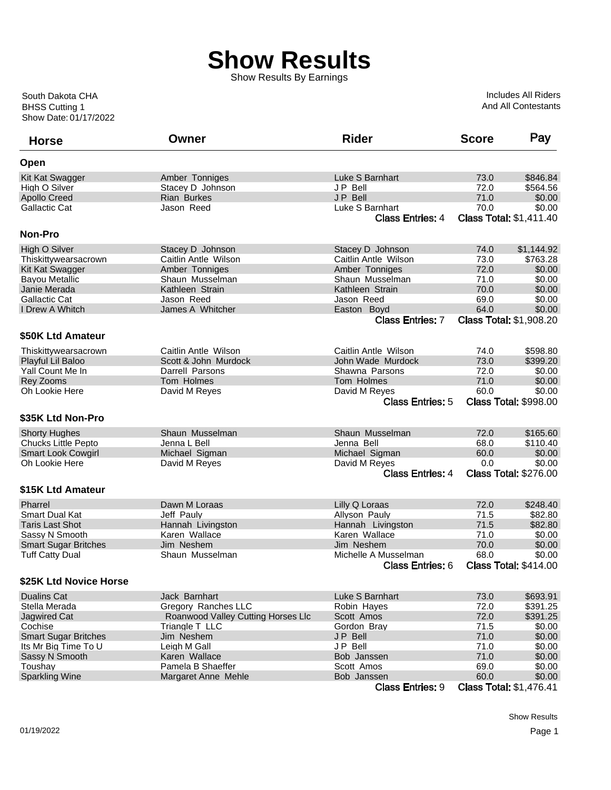Show Results By Earnings

| <b>Horse</b>                | Owner                              | <b>Rider</b>            | <b>Score</b> | Pay                            |
|-----------------------------|------------------------------------|-------------------------|--------------|--------------------------------|
| Open                        |                                    |                         |              |                                |
| Kit Kat Swagger             | Amber Tonniges                     | Luke S Barnhart         | 73.0         | \$846.84                       |
| High O Silver               | Stacey D Johnson                   | JP Bell                 | 72.0         | \$564.56                       |
| <b>Apollo Creed</b>         | <b>Rian Burkes</b>                 | JP Bell                 | 71.0         | \$0.00                         |
| <b>Gallactic Cat</b>        | Jason Reed                         | Luke S Barnhart         | 70.0         | \$0.00                         |
|                             |                                    | Class Entries: 4        |              | <b>Class Total: \$1,411.40</b> |
| Non-Pro                     |                                    |                         |              |                                |
| High O Silver               | Stacey D Johnson                   | Stacey D Johnson        | 74.0         | \$1,144.92                     |
| Thiskittywearsacrown        | Caitlin Antle Wilson               | Caitlin Antle Wilson    | 73.0         | \$763.28                       |
| Kit Kat Swagger             | Amber Tonniges                     | Amber Tonniges          | 72.0         | \$0.00                         |
| <b>Bayou Metallic</b>       | Shaun Musselman                    | Shaun Musselman         | 71.0         | \$0.00                         |
| Janie Merada                | Kathleen Strain                    | Kathleen Strain         | 70.0         | \$0.00                         |
| <b>Gallactic Cat</b>        | Jason Reed                         | Jason Reed              | 69.0         | \$0.00                         |
| I Drew A Whitch             | James A Whitcher                   | Easton Boyd             | 64.0         | \$0.00                         |
|                             |                                    | <b>Class Entries: 7</b> |              | <b>Class Total: \$1,908.20</b> |
| \$50K Ltd Amateur           |                                    |                         |              |                                |
|                             |                                    |                         |              |                                |
| Thiskittywearsacrown        | Caitlin Antle Wilson               | Caitlin Antle Wilson    | 74.0         | \$598.80                       |
| Playful Lil Baloo           | Scott & John Murdock               | John Wade Murdock       | 73.0         | \$399.20                       |
| Yall Count Me In            | Darrell Parsons                    | Shawna Parsons          | 72.0         | \$0.00                         |
| Rey Zooms                   | Tom Holmes                         | Tom Holmes              | 71.0         | \$0.00                         |
| Oh Lookie Here              | David M Reyes                      | David M Reyes           | 60.0         | \$0.00                         |
|                             |                                    | <b>Class Entries: 5</b> |              | <b>Class Total: \$998.00</b>   |
| \$35K Ltd Non-Pro           |                                    |                         |              |                                |
|                             |                                    |                         |              |                                |
| <b>Shorty Hughes</b>        | Shaun Musselman                    | Shaun Musselman         | 72.0         | \$165.60                       |
| <b>Chucks Little Pepto</b>  | Jenna L Bell                       | Jenna Bell              | 68.0         | \$110.40                       |
| <b>Smart Look Cowgirl</b>   | Michael Sigman                     | Michael Sigman          | 60.0         | \$0.00                         |
| Oh Lookie Here              | David M Reyes                      | David M Reyes           | 0.0          | \$0.00                         |
|                             |                                    | <b>Class Entries: 4</b> |              | <b>Class Total: \$276.00</b>   |
| \$15K Ltd Amateur           |                                    |                         |              |                                |
| Pharrel                     | Dawn M Loraas                      | Lilly Q Loraas          | 72.0         | \$248.40                       |
| <b>Smart Dual Kat</b>       | Jeff Pauly                         | Allyson Pauly           | 71.5         | \$82.80                        |
| <b>Taris Last Shot</b>      | Hannah Livingston                  | Hannah Livingston       | 71.5         | \$82.80                        |
| Sassy N Smooth              | Karen Wallace                      | Karen Wallace           | 71.0         | \$0.00                         |
| <b>Smart Sugar Britches</b> | Jim Neshem                         | Jim Neshem              | 70.0         | \$0.00                         |
| <b>Tuff Catty Dual</b>      | Shaun Musselman                    | Michelle A Musselman    | 68.0         | \$0.00                         |
|                             |                                    | <b>Class Entries: 6</b> |              | <b>Class Total: \$414.00</b>   |
| \$25K Ltd Novice Horse      |                                    |                         |              |                                |
| <b>Dualins Cat</b>          | Jack Barnhart                      | Luke S Barnhart         | 73.0         | \$693.91                       |
| Stella Merada               | Gregory Ranches LLC                | Robin Hayes             | 72.0         | \$391.25                       |
| <b>Jagwired Cat</b>         | Roanwood Valley Cutting Horses Llc | Scott Amos              | 72.0         | \$391.25                       |
| Cochise                     | Triangle T LLC                     | Gordon Bray             | 71.5         | \$0.00                         |
| <b>Smart Sugar Britches</b> | Jim Neshem                         | JP Bell                 | 71.0         | \$0.00                         |
| Its Mr Big Time To U        | Leigh M Gall                       | JP Bell                 | 71.0         | \$0.00                         |
| Sassy N Smooth              | Karen Wallace                      | Bob Janssen             | 71.0         | \$0.00                         |
| Toushay                     | Pamela B Shaeffer                  | Scott Amos              | 69.0         | \$0.00                         |
| <b>Sparkling Wine</b>       | Margaret Anne Mehle                | Bob Janssen             | 60.0         | \$0.00                         |
|                             |                                    | <b>Class Entries: 9</b> |              | <b>Class Total: \$1,476.41</b> |
|                             |                                    |                         |              |                                |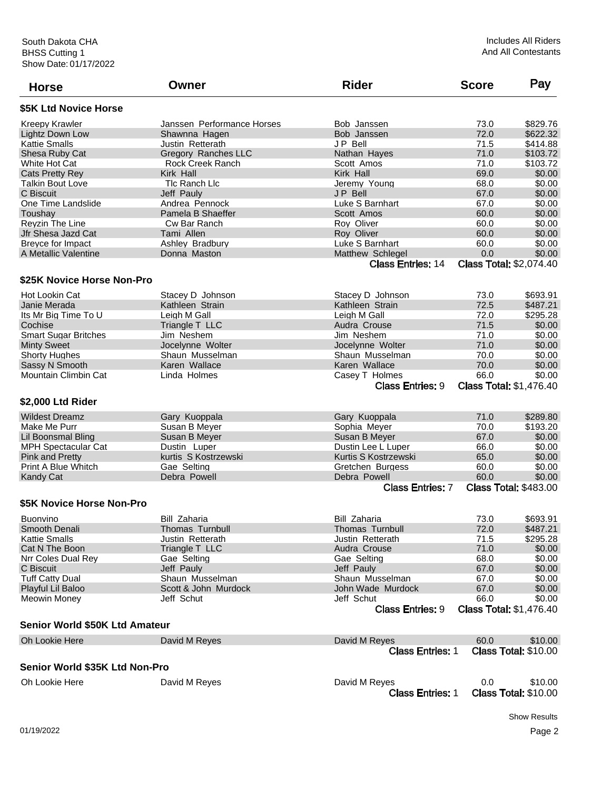| <b>Horse</b>                   | Owner                      | <b>Rider</b>                             | <b>Score</b> | Pay                                    |
|--------------------------------|----------------------------|------------------------------------------|--------------|----------------------------------------|
| \$5K Ltd Novice Horse          |                            |                                          |              |                                        |
| Kreepy Krawler                 | Janssen Performance Horses | Bob Janssen                              | 73.0         | \$829.76                               |
| Lightz Down Low                | Shawnna Hagen              | Bob Janssen                              | 72.0         | \$622.32                               |
| Kattie Smalls                  | Justin Retterath           | JP Bell                                  | 71.5         | \$414.88                               |
| Shesa Ruby Cat                 | Gregory Ranches LLC        | Nathan Hayes                             | 71.0         | \$103.72                               |
| White Hot Cat                  | Rock Creek Ranch           | Scott Amos                               | 71.0         | \$103.72                               |
| Cats Pretty Rey                | Kirk Hall                  | Kirk Hall                                | 69.0         | \$0.00                                 |
| <b>Talkin Bout Love</b>        | Tlc Ranch Llc              | Jeremy Young                             | 68.0         | \$0.00                                 |
| C Biscuit                      | Jeff Pauly                 | <b>JP Bell</b>                           | 67.0         | \$0.00                                 |
| One Time Landslide             | Andrea Pennock             | Luke S Barnhart                          | 67.0         | \$0.00                                 |
| Toushay                        | Pamela B Shaeffer          | Scott Amos                               | 60.0         | \$0.00                                 |
| Reyzin The Line                | Cw Bar Ranch               | Roy Oliver                               | 60.0         | \$0.00                                 |
| Jfr Shesa Jazd Cat             | Tami Allen                 | Roy Oliver                               | 60.0         | \$0.00                                 |
| Breyce for Impact              | Ashley Bradbury            | Luke S Barnhart                          | 60.0         | \$0.00                                 |
| A Metallic Valentine           | Donna Maston               | Matthew Schlegel                         | 0.0          | \$0.00                                 |
|                                |                            |                                          |              |                                        |
|                                |                            | <b>Class Entries: 14</b>                 |              | <b>Class Total: \$2,074.40</b>         |
| \$25K Novice Horse Non-Pro     |                            |                                          |              |                                        |
| Hot Lookin Cat                 | Stacey D Johnson           | Stacey D Johnson                         | 73.0         | \$693.91                               |
| Janie Merada                   | Kathleen Strain            | Kathleen Strain                          | 72.5         | \$487.21                               |
| Its Mr Big Time To U           | Leigh M Gall               | Leigh M Gall                             | 72.0         | \$295.28                               |
| Cochise                        | Triangle T LLC             | Audra Crouse                             | 71.5         | \$0.00                                 |
| <b>Smart Sugar Britches</b>    | Jim Neshem                 | Jim Neshem                               | 71.0         | \$0.00                                 |
| <b>Minty Sweet</b>             | Jocelynne Wolter           | Jocelynne Wolter                         | 71.0         | \$0.00                                 |
| <b>Shorty Hughes</b>           | Shaun Musselman            | Shaun Musselman                          | 70.0         | \$0.00                                 |
| Sassy N Smooth                 | Karen Wallace              | Karen Wallace                            | 70.0         | \$0.00                                 |
| <b>Mountain Climbin Cat</b>    | Linda Holmes               | Casey T Holmes                           | 66.0         | \$0.00                                 |
|                                |                            | <b>Class Entries: 9</b>                  |              | <b>Class Total: \$1,476.40</b>         |
| \$2,000 Ltd Rider              |                            |                                          |              |                                        |
| <b>Wildest Dreamz</b>          | Gary Kuoppala              | Gary Kuoppala                            | 71.0         | \$289.80                               |
| Make Me Purr                   | Susan B Meyer              | Sophia Meyer                             | 70.0         | \$193.20                               |
| Lil Boonsmal Bling             | Susan B Meyer              | Susan B Meyer                            | 67.0         | \$0.00                                 |
| <b>MPH Spectacular Cat</b>     | Dustin Luper               | Dustin Lee L Luper                       | 66.0         | \$0.00                                 |
| <b>Pink and Pretty</b>         | kurtis S Kostrzewski       | Kurtis S Kostrzewski                     | 65.0         | \$0.00                                 |
| Print A Blue Whitch            | Gae Selting                | Gretchen Burgess                         | 60.0         | \$0.00                                 |
| Kandy Cat                      | Debra Powell               | Debra Powell                             | 60.0         | \$0.00                                 |
|                                |                            | <b>Class Entries: 7</b>                  |              | <b>Class Total: \$483.00</b>           |
| \$5K Novice Horse Non-Pro      |                            |                                          |              |                                        |
|                                |                            |                                          |              | \$693.91                               |
| <b>Buonvino</b>                | Bill Zaharia               | Bill Zaharia                             | 73.0         |                                        |
| Smooth Denali                  | <b>Thomas Turnbull</b>     | Thomas Turnbull                          | 72.0         | \$487.21                               |
| <b>Kattie Smalls</b>           | Justin Retterath           | Justin Retterath                         | 71.5         | \$295.28                               |
| Cat N The Boon                 | Triangle T LLC             | Audra Crouse                             | 71.0         | \$0.00                                 |
| Nrr Coles Dual Rey             | Gae Selting                | Gae Selting                              | 68.0         | \$0.00                                 |
| C Biscuit                      | Jeff Pauly                 | Jeff Pauly                               | 67.0         | \$0.00                                 |
| <b>Tuff Catty Dual</b>         | Shaun Musselman            | Shaun Musselman                          | 67.0         | \$0.00                                 |
| Playful Lil Baloo              | Scott & John Murdock       | John Wade Murdock                        | 67.0         | \$0.00                                 |
| Meowin Money                   | Jeff Schut                 | Jeff Schut                               | 66.0         | \$0.00                                 |
|                                |                            | <b>Class Entries: 9</b>                  |              | <b>Class Total: \$1,476.40</b>         |
| Senior World \$50K Ltd Amateur |                            |                                          |              |                                        |
| Oh Lookie Here                 | David M Reyes              | David M Reyes                            | 60.0         | \$10.00                                |
|                                |                            | <b>Class Entries: 1</b>                  |              | <b>Class Total: \$10.00</b>            |
| Senior World \$35K Ltd Non-Pro |                            |                                          |              |                                        |
| Oh Lookie Here                 | David M Reyes              | David M Reyes<br><b>Class Entries: 1</b> | 0.0          | \$10.00<br><b>Class Total: \$10.00</b> |
|                                |                            |                                          |              |                                        |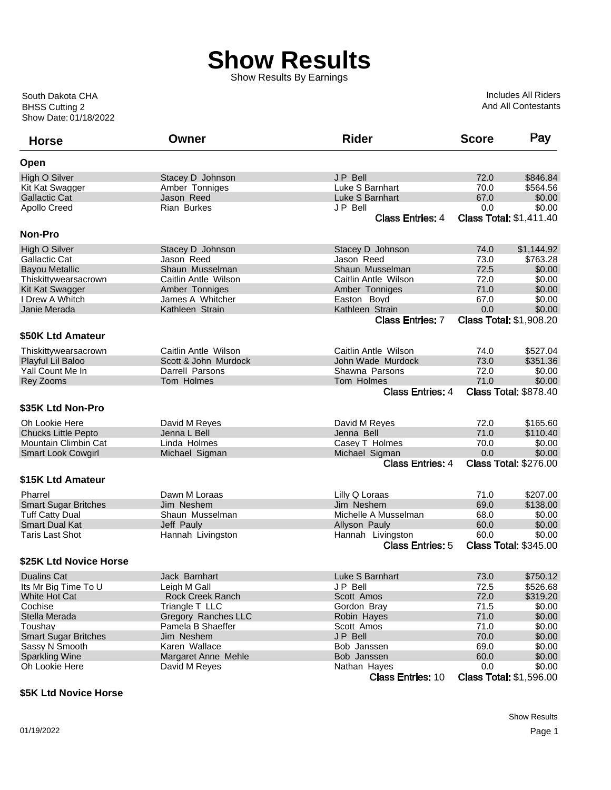Show Results By Earnings

Includes All Riders And All Contestants

| <b>Horse</b>                | Owner                | <b>Rider</b>             | <b>Score</b> | Pay                            |
|-----------------------------|----------------------|--------------------------|--------------|--------------------------------|
| Open                        |                      |                          |              |                                |
| High O Silver               | Stacey D Johnson     | JP Bell                  | 72.0         | \$846.84                       |
| Kit Kat Swagger             | Amber Tonniges       | Luke S Barnhart          | 70.0         | \$564.56                       |
| <b>Gallactic Cat</b>        | Jason Reed           | Luke S Barnhart          | 67.0         | \$0.00                         |
| <b>Apollo Creed</b>         | Rian Burkes          | J P Bell                 | 0.0          | \$0.00                         |
|                             |                      | <b>Class Entries: 4</b>  |              | <b>Class Total: \$1,411.40</b> |
| Non-Pro                     |                      |                          |              |                                |
| High O Silver               | Stacey D Johnson     | Stacey D Johnson         | 74.0         | \$1,144.92                     |
| Gallactic Cat               | Jason Reed           | Jason Reed               | 73.0         | \$763.28                       |
| <b>Bayou Metallic</b>       | Shaun Musselman      | Shaun Musselman          | 72.5         | \$0.00                         |
| Thiskittywearsacrown        | Caitlin Antle Wilson | Caitlin Antle Wilson     | 72.0         | \$0.00                         |
| Kit Kat Swagger             | Amber Tonniges       | Amber Tonniges           | 71.0         | \$0.00                         |
| I Drew A Whitch             | James A Whitcher     | Easton Boyd              | 67.0         | \$0.00                         |
| Janie Merada                | Kathleen Strain      | Kathleen Strain          | 0.0          | \$0.00                         |
|                             |                      | <b>Class Entries: 7</b>  |              | <b>Class Total: \$1,908.20</b> |
| \$50K Ltd Amateur           |                      |                          |              |                                |
| Thiskittywearsacrown        | Caitlin Antle Wilson | Caitlin Antle Wilson     | 74.0         | \$527.04                       |
| Playful Lil Baloo           | Scott & John Murdock | John Wade Murdock        | 73.0         | \$351.36                       |
| Yall Count Me In            | Darrell Parsons      | Shawna Parsons           | 72.0         | \$0.00                         |
| Rey Zooms                   | Tom Holmes           | Tom Holmes               | 71.0         | \$0.00                         |
|                             |                      | <b>Class Entries: 4</b>  |              | <b>Class Total: \$878.40</b>   |
| \$35K Ltd Non-Pro           |                      |                          |              |                                |
| Oh Lookie Here              | David M Reyes        | David M Reyes            | 72.0         | \$165.60                       |
| <b>Chucks Little Pepto</b>  | Jenna L Bell         | Jenna Bell               | 71.0         | \$110.40                       |
| Mountain Climbin Cat        | Linda Holmes         | Casey T Holmes           | 70.0         | \$0.00                         |
| <b>Smart Look Cowgirl</b>   | Michael Sigman       | Michael Sigman           | 0.0          | \$0.00                         |
|                             |                      | <b>Class Entries: 4</b>  |              | <b>Class Total: \$276.00</b>   |
|                             |                      |                          |              |                                |
| \$15K Ltd Amateur           |                      |                          |              |                                |
| Pharrel                     | Dawn M Loraas        | Lilly Q Loraas           | 71.0         | \$207.00                       |
| <b>Smart Sugar Britches</b> | Jim Neshem           | Jim Neshem               | 69.0         | \$138.00                       |
| <b>Tuff Catty Dual</b>      | Shaun Musselman      | Michelle A Musselman     | 68.0         | \$0.00                         |
| Smart Dual Kat              | Jeff Pauly           | Allyson Pauly            | 60.0         | \$0.00                         |
| <b>Taris Last Shot</b>      | Hannah Livingston    | Hannah Livingston        | 60.0         | \$0.00                         |
|                             |                      | <b>Class Entries: 5</b>  |              | <b>Class Total: \$345.00</b>   |
| \$25K Ltd Novice Horse      |                      |                          |              |                                |
| <b>Dualins Cat</b>          | Jack Barnhart        | Luke S Barnhart          | 73.0         | \$750.12                       |
| Its Mr Big Time To U        | Leigh M Gall         | JP Bell                  | 72.5         | \$526.68                       |
| White Hot Cat               | Rock Creek Ranch     | Scott Amos               | 72.0         | \$319.20                       |
| Cochise                     | Triangle T LLC       | Gordon Bray              | 71.5         | \$0.00                         |
| Stella Merada               | Gregory Ranches LLC  | Robin Hayes              | 71.0         | \$0.00                         |
| Toushay                     | Pamela B Shaeffer    | Scott Amos               | 71.0         | \$0.00                         |
| <b>Smart Sugar Britches</b> | Jim Neshem           | JP Bell                  | 70.0         | \$0.00                         |
| Sassy N Smooth              | Karen Wallace        | Bob Janssen              | 69.0         | \$0.00                         |
| <b>Sparkling Wine</b>       | Margaret Anne Mehle  | Bob Janssen              | 60.0         | \$0.00                         |
| Oh Lookie Here              | David M Reyes        | Nathan Hayes             | 0.0          | \$0.00                         |
|                             |                      | <b>Class Entries: 10</b> |              | <b>Class Total: \$1,596.00</b> |

## **\$5K Ltd Novice Horse**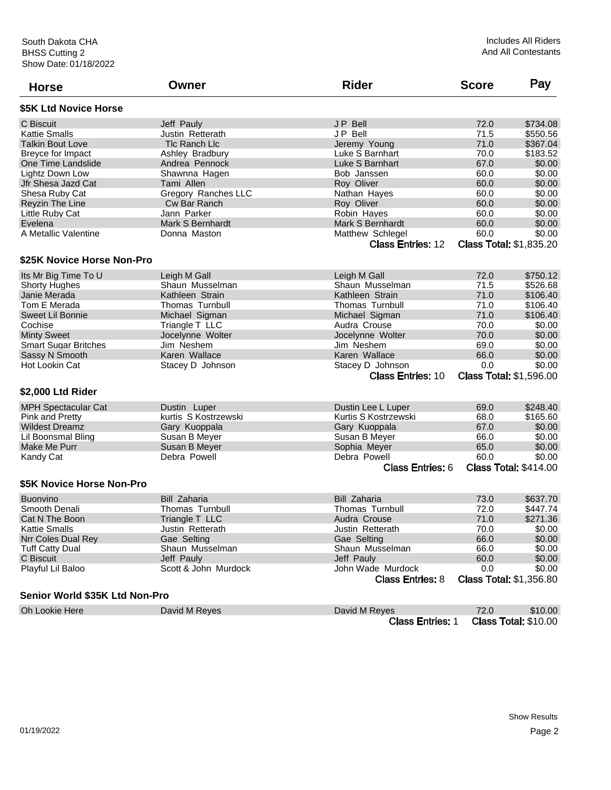| <b>Horse</b>                   | Owner                | <b>Rider</b>             | <b>Score</b> | Pay                            |
|--------------------------------|----------------------|--------------------------|--------------|--------------------------------|
| \$5K Ltd Novice Horse          |                      |                          |              |                                |
| C Biscuit                      | Jeff Pauly           | <b>JP Bell</b>           | 72.0         | \$734.08                       |
| <b>Kattie Smalls</b>           | Justin Retterath     | JP Bell                  | 71.5         | \$550.56                       |
| <b>Talkin Bout Love</b>        | TIc Ranch LIc        | Jeremy Young             | 71.0         | \$367.04                       |
| Breyce for Impact              | Ashley Bradbury      | Luke S Barnhart          | 70.0         | \$183.52                       |
| One Time Landslide             | Andrea Pennock       | Luke S Barnhart          | 67.0         | \$0.00                         |
| Lightz Down Low                | Shawnna Hagen        | Bob Janssen              | 60.0         | \$0.00                         |
| Jfr Shesa Jazd Cat             | Tami Allen           | Roy Oliver               | 60.0         | \$0.00                         |
| Shesa Ruby Cat                 | Gregory Ranches LLC  | Nathan Hayes             | 60.0         | \$0.00                         |
| Reyzin The Line                | Cw Bar Ranch         | Roy Oliver               | 60.0         | \$0.00                         |
| Little Ruby Cat                | Jann Parker          | Robin Hayes              | 60.0         | \$0.00                         |
| Evelena                        | Mark S Bernhardt     | Mark S Bernhardt         | 60.0         | \$0.00                         |
| A Metallic Valentine           | Donna Maston         | Matthew Schlegel         | 60.0         | \$0.00                         |
|                                |                      | <b>Class Entries: 12</b> |              | <b>Class Total: \$1,835.20</b> |
| \$25K Novice Horse Non-Pro     |                      |                          |              |                                |
| Its Mr Big Time To U           | Leigh M Gall         | Leigh M Gall             | 72.0         | \$750.12                       |
| <b>Shorty Hughes</b>           | Shaun Musselman      | Shaun Musselman          | 71.5         | \$526.68                       |
| Janie Merada                   | Kathleen Strain      | Kathleen Strain          | 71.0         | \$106.40                       |
| Tom E Merada                   | Thomas Turnbull      | <b>Thomas Turnbull</b>   | 71.0         | \$106.40                       |
| <b>Sweet Lil Bonnie</b>        | Michael Sigman       | Michael Sigman           | 71.0         | \$106.40                       |
| Cochise                        | Triangle T LLC       | Audra Crouse             | 70.0         | \$0.00                         |
| <b>Minty Sweet</b>             | Jocelynne Wolter     | Jocelynne Wolter         | 70.0         | \$0.00                         |
| <b>Smart Sugar Britches</b>    | Jim Neshem           | Jim Neshem               | 69.0         | \$0.00                         |
| Sassy N Smooth                 | Karen Wallace        | Karen Wallace            | 66.0         | \$0.00                         |
| Hot Lookin Cat                 | Stacey D Johnson     | Stacey D Johnson         | 0.0          | \$0.00                         |
|                                |                      | <b>Class Entries: 10</b> |              | <b>Class Total: \$1,596.00</b> |
| \$2,000 Ltd Rider              |                      |                          |              |                                |
| <b>MPH Spectacular Cat</b>     | Dustin Luper         | Dustin Lee L Luper       | 69.0         | \$248.40                       |
| Pink and Pretty                | kurtis S Kostrzewski | Kurtis S Kostrzewski     | 68.0         | \$165.60                       |
| <b>Wildest Dreamz</b>          | Gary Kuoppala        | Gary Kuoppala            | 67.0         | \$0.00                         |
| Lil Boonsmal Bling             | Susan B Meyer        | Susan B Meyer            | 66.0         | \$0.00                         |
| Make Me Purr                   | Susan B Meyer        | Sophia Meyer             | 65.0         | \$0.00                         |
| Kandy Cat                      | Debra Powell         | Debra Powell             | 60.0         | \$0.00                         |
|                                |                      | <b>Class Entries: 6</b>  |              | <b>Class Total: \$414.00</b>   |
| \$5K Novice Horse Non-Pro      |                      |                          |              |                                |
| <b>Buonvino</b>                | <b>Bill Zaharia</b>  | <b>Bill Zaharia</b>      | 73.0         | \$637.70                       |
| Smooth Denali                  | Thomas Turnbull      | Thomas Turnbull          | 72.0         | \$447.74                       |
| Cat N The Boon                 | Triangle T LLC       | Audra Crouse             | 71.0         | \$271.36                       |
| <b>Kattie Smalls</b>           | Justin Retterath     | Justin Retterath         | 70.0         | \$0.00                         |
| Nrr Coles Dual Rey             | Gae Selting          | Gae Selting              | 66.0         | \$0.00                         |
| <b>Tuff Catty Dual</b>         | Shaun Musselman      | Shaun Musselman          | 66.0         | \$0.00                         |
| C Biscuit                      | Jeff Pauly           | Jeff Pauly               | 60.0         | \$0.00                         |
| Playful Lil Baloo              | Scott & John Murdock | John Wade Murdock        | 0.0          | \$0.00                         |
|                                |                      | <b>Class Entries: 8</b>  |              | <b>Class Total: \$1,356.80</b> |
| Senior World \$35K Ltd Non-Pro |                      |                          |              |                                |
| Oh Lookie Here                 | David M Reyes        | David M Reyes            | 72.0         | \$10.00                        |
|                                |                      | <b>Class Entries: 1</b>  |              | <b>Class Total: \$10.00</b>    |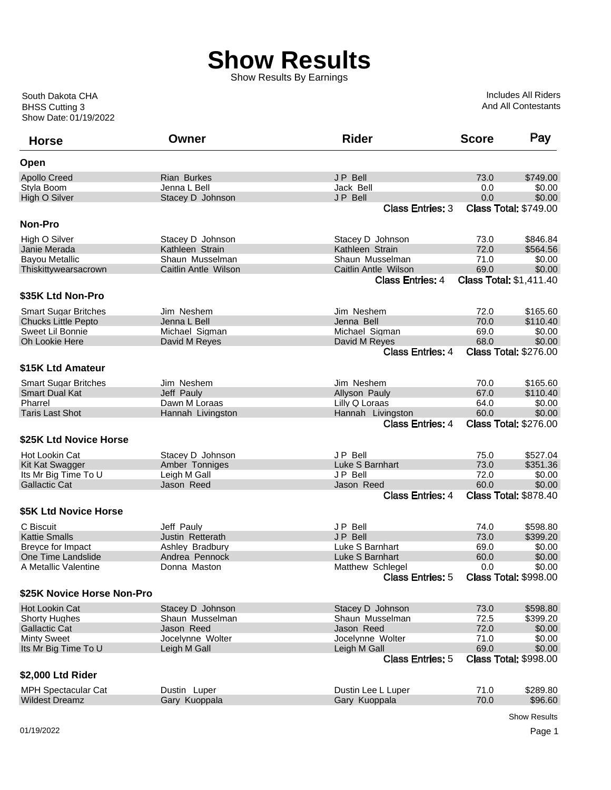Show Results By Earnings

Includes All Riders And All Contestants

| <b>Horse</b>                            | Owner                          | <b>Rider</b>                                | <b>Score</b>                        | Pay                          |
|-----------------------------------------|--------------------------------|---------------------------------------------|-------------------------------------|------------------------------|
| Open                                    |                                |                                             |                                     |                              |
| <b>Apollo Creed</b>                     | <b>Rian Burkes</b>             | <b>JP Bell</b>                              | 73.0                                | \$749.00                     |
| Styla Boom                              | Jenna L Bell                   | Jack Bell                                   | 0.0                                 | \$0.00                       |
| <b>High O Silver</b>                    | Stacey D Johnson               | JP Bell                                     | 0.0                                 | \$0.00                       |
|                                         |                                | <b>Class Entries: 3</b>                     | <b>Class Total: \$749.00</b>        |                              |
| Non-Pro                                 |                                |                                             |                                     |                              |
| High O Silver                           | Stacey D Johnson               | Stacey D Johnson                            | 73.0                                | \$846.84                     |
| Janie Merada                            | Kathleen Strain                | Kathleen Strain                             | 72.0                                | \$564.56                     |
| <b>Bayou Metallic</b>                   | Shaun Musselman                | Shaun Musselman                             | 71.0                                | \$0.00                       |
| Thiskittywearsacrown                    | Caitlin Antle Wilson           | Caitlin Antle Wilson                        | 69.0                                | \$0.00                       |
|                                         |                                | <b>Class Entries: 4</b>                     | <b>Class Total: \$1,411.40</b>      |                              |
| \$35K Ltd Non-Pro                       |                                |                                             |                                     |                              |
| <b>Smart Sugar Britches</b>             | Jim Neshem                     | Jim Neshem                                  | 72.0                                | \$165.60                     |
| <b>Chucks Little Pepto</b>              | Jenna L Bell                   | Jenna Bell                                  | 70.0                                | \$110.40                     |
| Sweet Lil Bonnie                        | Michael Sigman                 | Michael Sigman                              | 69.0                                | \$0.00                       |
| <b>Oh Lookie Here</b>                   | David M Reyes                  | David M Reyes                               | 68.0                                | \$0.00                       |
|                                         |                                | <b>Class Entries: 4</b>                     | <b>Class Total: \$276.00</b>        |                              |
| \$15K Ltd Amateur                       |                                |                                             |                                     |                              |
| <b>Smart Sugar Britches</b>             | Jim Neshem                     | Jim Neshem                                  | 70.0                                | \$165.60                     |
| <b>Smart Dual Kat</b>                   | Jeff Pauly                     | Allyson Pauly                               | 67.0                                | \$110.40                     |
| Pharrel                                 | Dawn M Loraas                  | Lilly Q Loraas                              | 64.0                                | \$0.00                       |
| <b>Taris Last Shot</b>                  | Hannah Livingston              | Hannah Livingston                           | 60.0                                | \$0.00                       |
|                                         |                                | <b>Class Entries: 4</b>                     | <b>Class Total: \$276.00</b>        |                              |
| \$25K Ltd Novice Horse                  |                                |                                             |                                     |                              |
| Hot Lookin Cat                          | Stacey D Johnson               | JP Bell                                     | 75.0                                | \$527.04                     |
| Kit Kat Swagger                         | Amber Tonniges                 | Luke S Barnhart                             | 73.0                                | \$351.36                     |
| Its Mr Big Time To U                    | Leigh M Gall                   | JP Bell                                     | 72.0                                | \$0.00                       |
| <b>Gallactic Cat</b>                    | Jason Reed                     | Jason Reed                                  | 60.0                                | \$0.00                       |
|                                         |                                | <b>Class Entries: 4</b>                     | <b>Class Total: \$878.40</b>        |                              |
| \$5K Ltd Novice Horse                   |                                |                                             |                                     |                              |
|                                         |                                | JP Bell                                     |                                     |                              |
| C Biscuit<br><b>Kattie Smalls</b>       | Jeff Pauly<br>Justin Retterath | <b>JP Bell</b>                              | 74.0                                | \$598.80<br>\$399.20         |
|                                         | Ashley Bradbury                | Luke S Barnhart                             | 73.0<br>69.0                        | \$0.00                       |
| Breyce for Impact<br>One Time Landslide | Andrea Pennock                 | Luke S Barnhart                             | 60.0                                | \$0.00                       |
| A Metallic Valentine                    |                                |                                             |                                     |                              |
|                                         | Donna Maston                   | Matthew Schlegel<br><b>Class Entries: 5</b> | 0.0<br><b>Class Total: \$998.00</b> | \$0.00                       |
| \$25K Novice Horse Non-Pro              |                                |                                             |                                     |                              |
| <b>Hot Lookin Cat</b>                   | Stacey D Johnson               | Stacey D Johnson                            | 73.0                                | \$598.80                     |
| <b>Shorty Hughes</b>                    | Shaun Musselman                | Shaun Musselman                             | 72.5                                | \$399.20                     |
| <b>Gallactic Cat</b>                    | Jason Reed                     | Jason Reed                                  | 72.0                                | \$0.00                       |
| <b>Minty Sweet</b>                      | Jocelynne Wolter               | Jocelynne Wolter                            | 71.0                                | \$0.00                       |
| Its Mr Big Time To U                    | Leigh M Gall                   | Leigh M Gall                                | 69.0                                | \$0.00                       |
|                                         |                                | <b>Class Entries: 5</b>                     |                                     | <b>Class Total: \$998.00</b> |
| \$2,000 Ltd Rider                       |                                |                                             |                                     |                              |
|                                         |                                |                                             |                                     |                              |
| <b>MPH Spectacular Cat</b>              | Dustin Luper                   | Dustin Lee L Luper                          | 71.0                                | \$289.80                     |
| <b>Wildest Dreamz</b>                   | Gary Kuoppala                  | Gary Kuoppala                               | 70.0                                | \$96.60                      |

Show Results